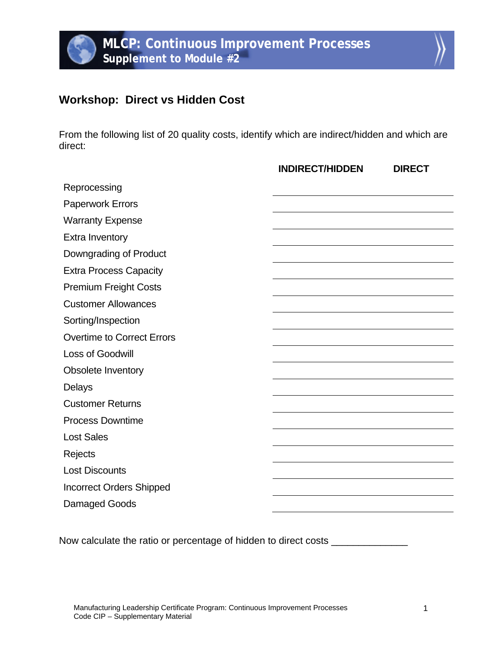## **Workshop: Direct vs Hidden Cost**

From the following list of 20 quality costs, identify which are indirect/hidden and which are direct:

|                                   | <b>INDIRECT/HIDDEN</b> | <b>DIRECT</b> |
|-----------------------------------|------------------------|---------------|
| Reprocessing                      |                        |               |
| <b>Paperwork Errors</b>           |                        |               |
| <b>Warranty Expense</b>           |                        |               |
| <b>Extra Inventory</b>            |                        |               |
| Downgrading of Product            |                        |               |
| <b>Extra Process Capacity</b>     |                        |               |
| <b>Premium Freight Costs</b>      |                        |               |
| <b>Customer Allowances</b>        |                        |               |
| Sorting/Inspection                |                        |               |
| <b>Overtime to Correct Errors</b> |                        |               |
| Loss of Goodwill                  |                        |               |
| Obsolete Inventory                |                        |               |
| Delays                            |                        |               |
| <b>Customer Returns</b>           |                        |               |
| <b>Process Downtime</b>           |                        |               |
| <b>Lost Sales</b>                 |                        |               |
| Rejects                           |                        |               |
| <b>Lost Discounts</b>             |                        |               |
| <b>Incorrect Orders Shipped</b>   |                        |               |
| Damaged Goods                     |                        |               |

Now calculate the ratio or percentage of hidden to direct costs \_\_\_\_\_\_\_\_\_\_\_\_\_\_\_\_